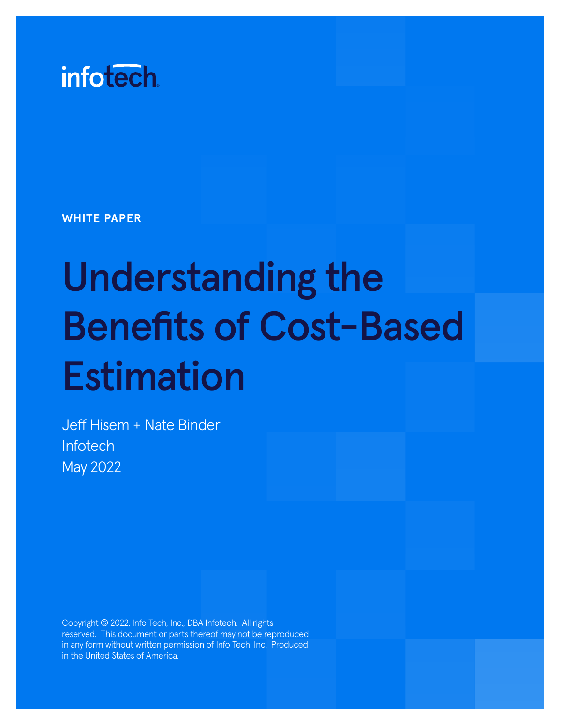

**WHITE PAPER**

# Understanding the Benefits of Cost-Based Estimation

Jeff Hisem + Nate Binder **Infotech** May 2022

Copyright © 2022, Info Tech, Inc., DBA Infotech. All rights reserved. This document or parts thereof may not be reproduced in any form without written permission of Info Tech. Inc. Produced in the United States of America.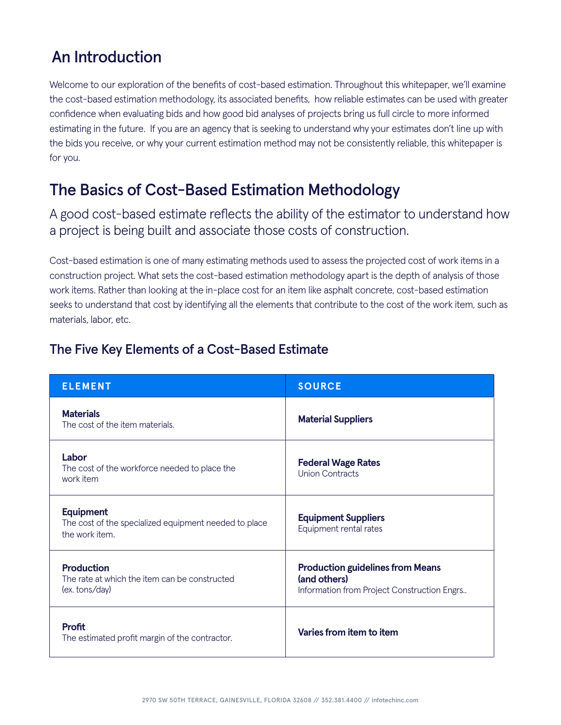## An Introduction

Welcome to our exploration of the benefits of cost-based estimation. Throughout this whitepaper, we'll examine the cost-based estimation methodology, its associated benefits, how reliable estimates can be used with greater confidence when evaluating bids and how good bid analyses of projects bring us full circle to more informed estimating in the future. If you are an agency that is seeking to understand why your estimates don't line up with the bids you receive, or why your current estimation method may not be consistently reliable, this whitepaper is for you.

## The Basics of Cost-Based Estimation Methodology

A good cost-based estimate reflects the ability of the estimator to understand how a project is being built and associate those costs of construction.

Cost-based estimation is one of many estimating methods used to assess the projected cost of work items in a construction project. What sets the cost-based estimation methodology apart is the depth of analysis of those work items. Rather than looking at the in-place cost for an item like asphalt concrete, cost-based estimation seeks to understand that cost by identifying all the elements that contribute to the cost of the work item, such as materials, labor, etc.

| <b>ELEMENT</b>                                                                              | <b>SOURCE</b>                                                                                          |  |
|---------------------------------------------------------------------------------------------|--------------------------------------------------------------------------------------------------------|--|
| <b>Materials</b><br>The cost of the item materials.                                         | <b>Material Suppliers</b>                                                                              |  |
| Labor<br>The cost of the workforce needed to place the<br>work item                         | <b>Federal Wage Rates</b><br>Union Contracts                                                           |  |
| <b>Equipment</b><br>The cost of the specialized equipment needed to place<br>the work item. | <b>Equipment Suppliers</b><br>Equipment rental rates                                                   |  |
| <b>Production</b><br>The rate at which the item can be constructed<br>(ex. tons/day)        | <b>Production guidelines from Means</b><br>(and others)<br>Information from Project Construction Engrs |  |
| <b>Profit</b><br>The estimated profit margin of the contractor.                             | Varies from item to item                                                                               |  |

### The Five Key Elements of a Cost-Based Estimate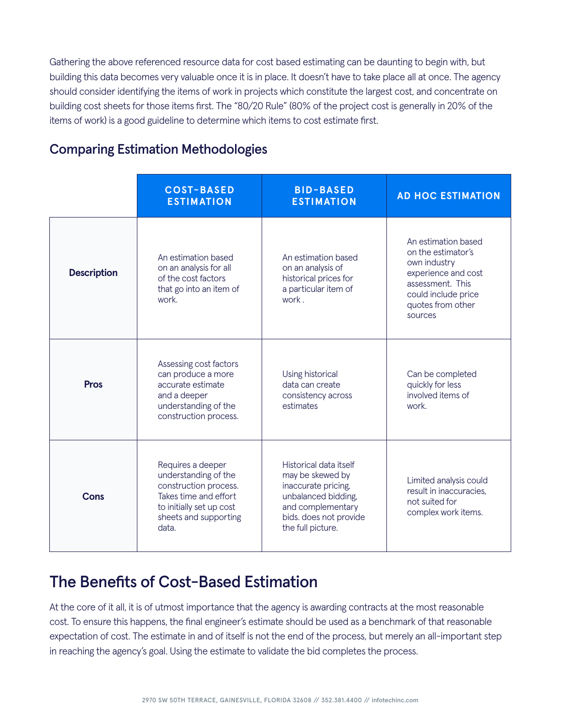Gathering the above referenced resource data for cost based estimating can be daunting to begin with, but building this data becomes very valuable once it is in place. It doesn't have to take place all at once. The agency should consider identifying the items of work in projects which constitute the largest cost, and concentrate on building cost sheets for those items first. The "80/20 Rule" (80% of the project cost is generally in 20% of the items of work) is a good guideline to determine which items to cost estimate first.

|                    | <b>COST-BASED</b><br><b>ESTIMATION</b>                                                                                                                    | <b>BID-BASED</b><br><b>ESTIMATION</b>                                                                                                                        | <b>AD HOC ESTIMATION</b>                                                                                                                                    |
|--------------------|-----------------------------------------------------------------------------------------------------------------------------------------------------------|--------------------------------------------------------------------------------------------------------------------------------------------------------------|-------------------------------------------------------------------------------------------------------------------------------------------------------------|
| <b>Description</b> | An estimation based<br>on an analysis for all<br>of the cost factors<br>that go into an item of<br>work.                                                  | An estimation based<br>on an analysis of<br>historical prices for<br>a particular item of<br>work.                                                           | An estimation based<br>on the estimator's<br>own industry<br>experience and cost<br>assessment. This<br>could include price<br>quotes from other<br>sources |
| <b>Pros</b>        | Assessing cost factors<br>can produce a more<br>accurate estimate<br>and a deeper<br>understanding of the<br>construction process.                        | Using historical<br>data can create<br>consistency across<br>estimates                                                                                       | Can be completed<br>quickly for less<br>involved items of<br>work.                                                                                          |
| Cons               | Requires a deeper<br>understanding of the<br>construction process.<br>Takes time and effort<br>to initially set up cost<br>sheets and supporting<br>data. | Historical data itself<br>may be skewed by<br>inaccurate pricing,<br>unbalanced bidding,<br>and complementary<br>bids. does not provide<br>the full picture. | Limited analysis could<br>result in inaccuracies,<br>not suited for<br>complex work items.                                                                  |

## Comparing Estimation Methodologies

## The Benefits of Cost-Based Estimation

At the core of it all, it is of utmost importance that the agency is awarding contracts at the most reasonable cost. To ensure this happens, the final engineer's estimate should be used as a benchmark of that reasonable expectation of cost. The estimate in and of itself is not the end of the process, but merely an all-important step in reaching the agency's goal. Using the estimate to validate the bid completes the process.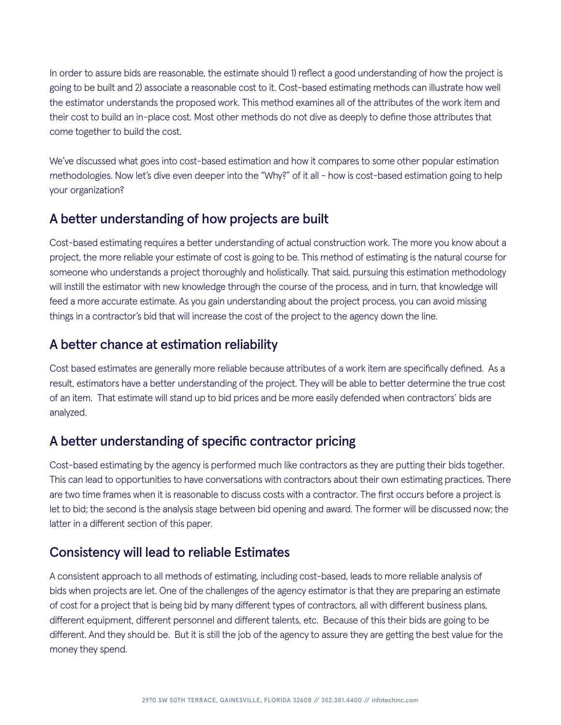In order to assure bids are reasonable, the estimate should 1) reflect a good understanding of how the project is going to be built and 2) associate a reasonable cost to it. Cost-based estimating methods can illustrate how well the estimator understands the proposed work. This method examines all of the attributes of the work item and their cost to build an in-place cost. Most other methods do not dive as deeply to define those attributes that come together to build the cost.

We've discussed what goes into cost-based estimation and how it compares to some other popular estimation methodologies. Now let's dive even deeper into the "Why?" of it all - how is cost-based estimation going to help your organization?

#### A better understanding of how projects are built

Cost-based estimating requires a better understanding of actual construction work. The more you know about a project, the more reliable your estimate of cost is going to be. This method of estimating is the natural course for someone who understands a project thoroughly and holistically. That said, pursuing this estimation methodology will instill the estimator with new knowledge through the course of the process, and in turn, that knowledge will feed a more accurate estimate. As you gain understanding about the project process, you can avoid missing things in a contractor's bid that will increase the cost of the project to the agency down the line.

#### A better chance at estimation reliability

Cost based estimates are generally more reliable because attributes of a work item are specifically defined. As a result, estimators have a better understanding of the project. They will be able to better determine the true cost of an item. That estimate will stand up to bid prices and be more easily defended when contractors' bids are analyzed.

#### A better understanding of specific contractor pricing

Cost-based estimating by the agency is performed much like contractors as they are putting their bids together. This can lead to opportunities to have conversations with contractors about their own estimating practices. There are two time frames when it is reasonable to discuss costs with a contractor. The first occurs before a project is let to bid; the second is the analysis stage between bid opening and award. The former will be discussed now; the latter in a different section of this paper.

#### Consistency will lead to reliable Estimates

A consistent approach to all methods of estimating, including cost-based, leads to more reliable analysis of bids when projects are let. One of the challenges of the agency estimator is that they are preparing an estimate of cost for a project that is being bid by many different types of contractors, all with different business plans, different equipment, different personnel and different talents, etc. Because of this their bids are going to be different. And they should be. But it is still the job of the agency to assure they are getting the best value for the money they spend.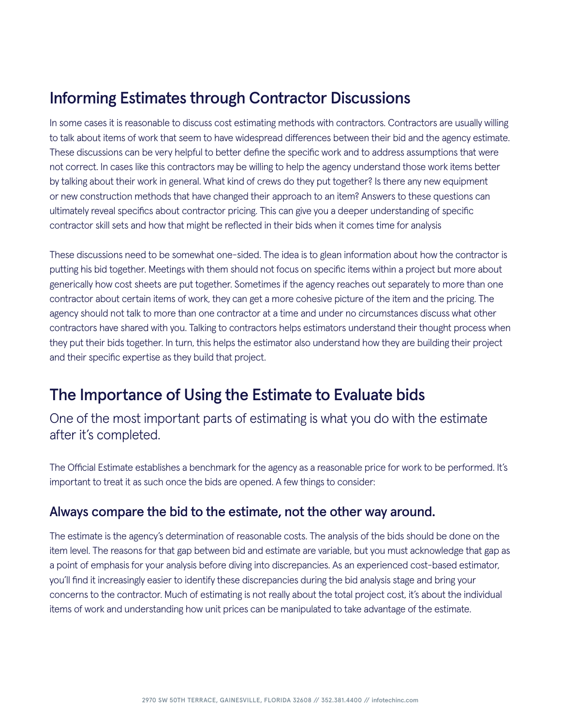## Informing Estimates through Contractor Discussions

In some cases it is reasonable to discuss cost estimating methods with contractors. Contractors are usually willing to talk about items of work that seem to have widespread differences between their bid and the agency estimate. These discussions can be very helpful to better define the specific work and to address assumptions that were not correct. In cases like this contractors may be willing to help the agency understand those work items better by talking about their work in general. What kind of crews do they put together? Is there any new equipment or new construction methods that have changed their approach to an item? Answers to these questions can ultimately reveal specifics about contractor pricing. This can give you a deeper understanding of specific contractor skill sets and how that might be reflected in their bids when it comes time for analysis

These discussions need to be somewhat one-sided. The idea is to glean information about how the contractor is putting his bid together. Meetings with them should not focus on specific items within a project but more about generically how cost sheets are put together. Sometimes if the agency reaches out separately to more than one contractor about certain items of work, they can get a more cohesive picture of the item and the pricing. The agency should not talk to more than one contractor at a time and under no circumstances discuss what other contractors have shared with you. Talking to contractors helps estimators understand their thought process when they put their bids together. In turn, this helps the estimator also understand how they are building their project and their specific expertise as they build that project.

## The Importance of Using the Estimate to Evaluate bids

One of the most important parts of estimating is what you do with the estimate after it's completed.

The Official Estimate establishes a benchmark for the agency as a reasonable price for work to be performed. It's important to treat it as such once the bids are opened. A few things to consider:

#### Always compare the bid to the estimate, not the other way around.

The estimate is the agency's determination of reasonable costs. The analysis of the bids should be done on the item level. The reasons for that gap between bid and estimate are variable, but you must acknowledge that gap as a point of emphasis for your analysis before diving into discrepancies. As an experienced cost-based estimator, you'll find it increasingly easier to identify these discrepancies during the bid analysis stage and bring your concerns to the contractor. Much of estimating is not really about the total project cost, it's about the individual items of work and understanding how unit prices can be manipulated to take advantage of the estimate.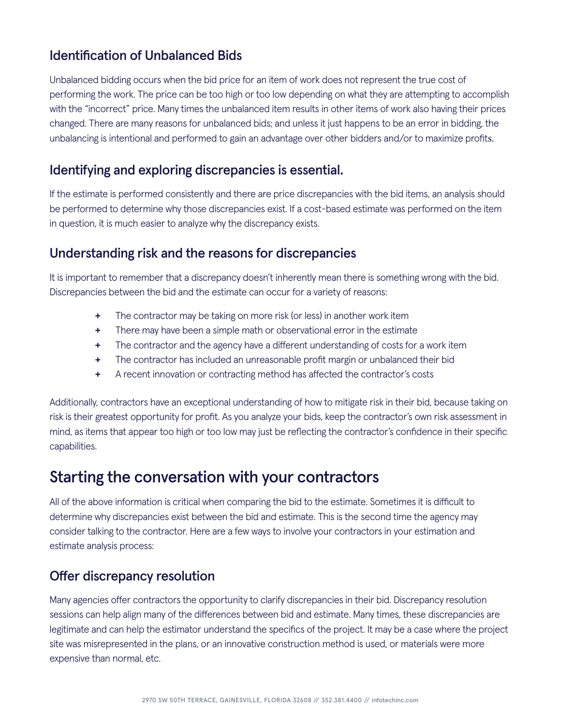### Identification of Unbalanced Bids

Unbalanced bidding occurs when the bid price for an item of work does not represent the true cost of performing the work. The price can be too high or too low depending on what they are attempting to accomplish with the "incorrect" price. Many times the unbalanced item results in other items of work also having their prices changed. There are many reasons for unbalanced bids; and unless it just happens to be an error in bidding, the unbalancing is intentional and performed to gain an advantage over other bidders and/or to maximize profits.

#### Identifying and exploring discrepancies is essential.

If the estimate is performed consistently and there are price discrepancies with the bid items, an analysis should be performed to determine why those discrepancies exist. If a cost-based estimate was performed on the item in question, it is much easier to analyze why the discrepancy exists.

#### Understanding risk and the reasons for discrepancies

It is important to remember that a discrepancy doesn't inherently mean there is something wrong with the bid. Discrepancies between the bid and the estimate can occur for a variety of reasons:

- **+** The contractor may be taking on more risk (or less) in another work item
- **+** There may have been a simple math or observational error in the estimate
- **+** The contractor and the agency have a different understanding of costs for a work item
- **+** The contractor has included an unreasonable profit margin or unbalanced their bid
- **+** A recent innovation or contracting method has affected the contractor's costs

Additionally, contractors have an exceptional understanding of how to mitigate risk in their bid, because taking on risk is their greatest opportunity for profit. As you analyze your bids, keep the contractor's own risk assessment in mind, as items that appear too high or too low may just be reflecting the contractor's confidence in their specific capabilities.

## Starting the conversation with your contractors

All of the above information is critical when comparing the bid to the estimate. Sometimes it is difficult to determine why discrepancies exist between the bid and estimate. This is the second time the agency may consider talking to the contractor. Here are a few ways to involve your contractors in your estimation and estimate analysis process:

#### Offer discrepancy resolution

Many agencies offer contractors the opportunity to clarify discrepancies in their bid. Discrepancy resolution sessions can help align many of the differences between bid and estimate. Many times, these discrepancies are legitimate and can help the estimator understand the specifics of the project. It may be a case where the project site was misrepresented in the plans, or an innovative construction method is used, or materials were more expensive than normal, etc.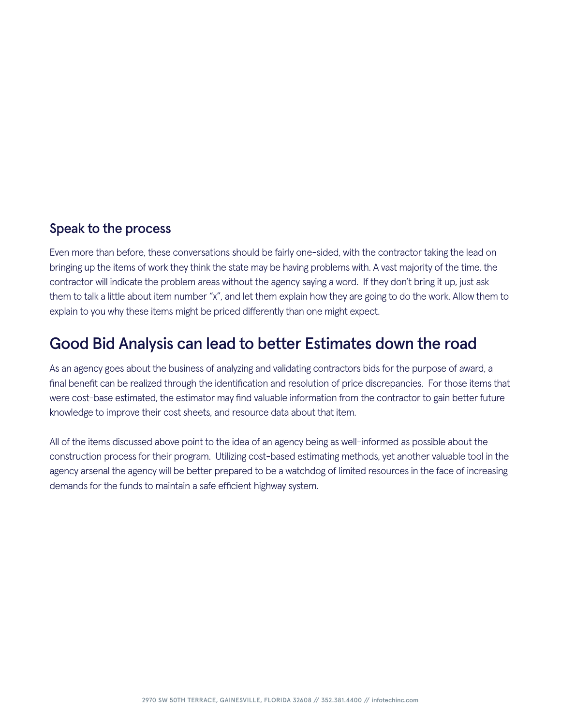#### Speak to the process

Even more than before, these conversations should be fairly one-sided, with the contractor taking the lead on bringing up the items of work they think the state may be having problems with. A vast majority of the time, the contractor will indicate the problem areas without the agency saying a word. If they don't bring it up, just ask them to talk a little about item number "x", and let them explain how they are going to do the work. Allow them to explain to you why these items might be priced differently than one might expect.

## Good Bid Analysis can lead to better Estimates down the road

As an agency goes about the business of analyzing and validating contractors bids for the purpose of award, a final benefit can be realized through the identification and resolution of price discrepancies. For those items that were cost-base estimated, the estimator may find valuable information from the contractor to gain better future knowledge to improve their cost sheets, and resource data about that item.

All of the items discussed above point to the idea of an agency being as well-informed as possible about the construction process for their program. Utilizing cost-based estimating methods, yet another valuable tool in the agency arsenal the agency will be better prepared to be a watchdog of limited resources in the face of increasing demands for the funds to maintain a safe efficient highway system.